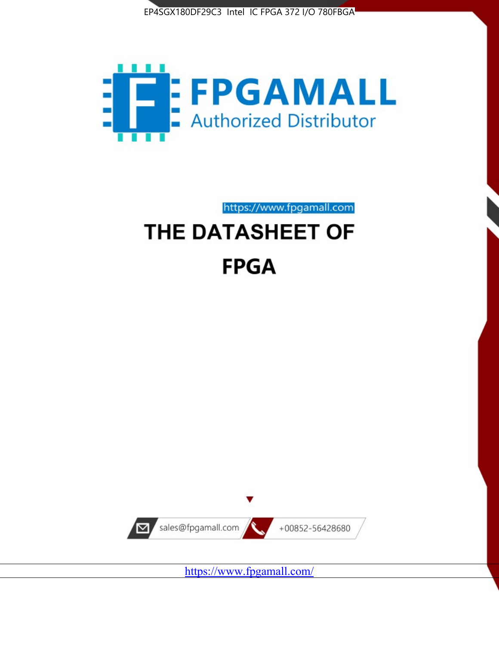



# https://www.fpgamall.com THE DATASHEET OF **FPGA**



<https://www.fpgamall.com/>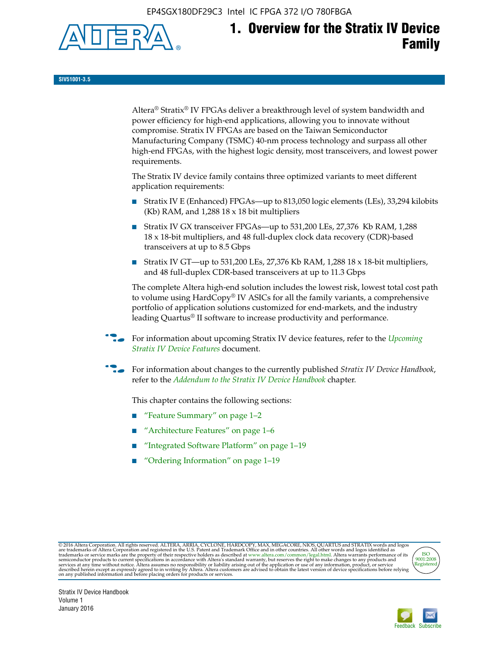EP4SGX180DF29C3 Intel IC FPGA 372 I/O 780FBGA



**SIV51001-3.5**

Altera® Stratix® IV FPGAs deliver a breakthrough level of system bandwidth and power efficiency for high-end applications, allowing you to innovate without compromise. Stratix IV FPGAs are based on the Taiwan Semiconductor Manufacturing Company (TSMC) 40-nm process technology and surpass all other high-end FPGAs, with the highest logic density, most transceivers, and lowest power requirements.

The Stratix IV device family contains three optimized variants to meet different application requirements:

- Stratix IV E (Enhanced) FPGAs—up to 813,050 logic elements (LEs), 33,294 kilobits (Kb) RAM, and 1,288 18 x 18 bit multipliers
- Stratix IV GX transceiver FPGAs—up to 531,200 LEs, 27,376 Kb RAM, 1,288 18 x 18-bit multipliers, and 48 full-duplex clock data recovery (CDR)-based transceivers at up to 8.5 Gbps
- Stratix IV GT—up to 531,200 LEs, 27,376 Kb RAM, 1,288 18 x 18-bit multipliers, and 48 full-duplex CDR-based transceivers at up to 11.3 Gbps

The complete Altera high-end solution includes the lowest risk, lowest total cost path to volume using HardCopy® IV ASICs for all the family variants, a comprehensive portfolio of application solutions customized for end-markets, and the industry leading Quartus® II software to increase productivity and performance.

f For information about upcoming Stratix IV device features, refer to the *[Upcoming](http://www.altera.com/literature/hb/stratix-iv/uf01001.pdf?GSA_pos=2&WT.oss_r=1&WT.oss=upcoming)  [Stratix IV Device Features](http://www.altera.com/literature/hb/stratix-iv/uf01001.pdf?GSA_pos=2&WT.oss_r=1&WT.oss=upcoming)* document.

f For information about changes to the currently published *Stratix IV Device Handbook*, refer to the *[Addendum to the Stratix IV Device Handbook](http://www.altera.com/literature/hb/stratix-iv/stx4_siv54002.pdf)* chapter.

This chapter contains the following sections:

- "Feature Summary" on page 1–2
- "Architecture Features" on page 1–6
- "Integrated Software Platform" on page 1–19
- "Ordering Information" on page 1–19

@2016 Altera Corporation. All rights reserved. ALTERA, ARRIA, CYCLONE, HARDCOPY, MAX, MEGACORE, NIOS, QUARTUS and STRATIX words and logos are trademarks of Altera Corporation and registered in the U.S. Patent and Trademark



Stratix IV Device Handbook Volume 1 January 2016

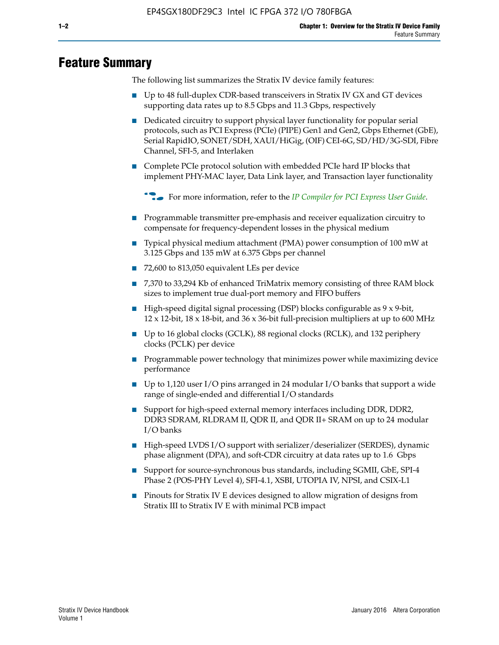# **Feature Summary**

The following list summarizes the Stratix IV device family features:

- Up to 48 full-duplex CDR-based transceivers in Stratix IV GX and GT devices supporting data rates up to 8.5 Gbps and 11.3 Gbps, respectively
- Dedicated circuitry to support physical layer functionality for popular serial protocols, such as PCI Express (PCIe) (PIPE) Gen1 and Gen2, Gbps Ethernet (GbE), Serial RapidIO, SONET/SDH, XAUI/HiGig, (OIF) CEI-6G, SD/HD/3G-SDI, Fibre Channel, SFI-5, and Interlaken
- Complete PCIe protocol solution with embedded PCIe hard IP blocks that implement PHY-MAC layer, Data Link layer, and Transaction layer functionality

**For more information, refer to the** *[IP Compiler for PCI Express User Guide](http://www.altera.com/literature/ug/ug_pci_express.pdf)***.** 

- Programmable transmitter pre-emphasis and receiver equalization circuitry to compensate for frequency-dependent losses in the physical medium
- Typical physical medium attachment (PMA) power consumption of 100 mW at 3.125 Gbps and 135 mW at 6.375 Gbps per channel
- 72,600 to 813,050 equivalent LEs per device
- 7,370 to 33,294 Kb of enhanced TriMatrix memory consisting of three RAM block sizes to implement true dual-port memory and FIFO buffers
- High-speed digital signal processing (DSP) blocks configurable as 9 x 9-bit,  $12 \times 12$ -bit,  $18 \times 18$ -bit, and  $36 \times 36$ -bit full-precision multipliers at up to 600 MHz
- Up to 16 global clocks (GCLK), 88 regional clocks (RCLK), and 132 periphery clocks (PCLK) per device
- Programmable power technology that minimizes power while maximizing device performance
- Up to 1,120 user I/O pins arranged in 24 modular I/O banks that support a wide range of single-ended and differential I/O standards
- Support for high-speed external memory interfaces including DDR, DDR2, DDR3 SDRAM, RLDRAM II, QDR II, and QDR II+ SRAM on up to 24 modular I/O banks
- High-speed LVDS I/O support with serializer/deserializer (SERDES), dynamic phase alignment (DPA), and soft-CDR circuitry at data rates up to 1.6 Gbps
- Support for source-synchronous bus standards, including SGMII, GbE, SPI-4 Phase 2 (POS-PHY Level 4), SFI-4.1, XSBI, UTOPIA IV, NPSI, and CSIX-L1
- Pinouts for Stratix IV E devices designed to allow migration of designs from Stratix III to Stratix IV E with minimal PCB impact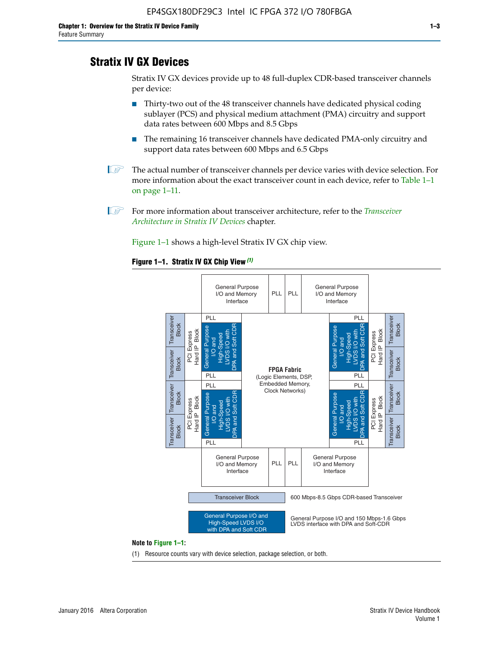# **Stratix IV GX Devices**

Stratix IV GX devices provide up to 48 full-duplex CDR-based transceiver channels per device:

- Thirty-two out of the 48 transceiver channels have dedicated physical coding sublayer (PCS) and physical medium attachment (PMA) circuitry and support data rates between 600 Mbps and 8.5 Gbps
- The remaining 16 transceiver channels have dedicated PMA-only circuitry and support data rates between 600 Mbps and 6.5 Gbps
- **1 The actual number of transceiver channels per device varies with device selection. For** more information about the exact transceiver count in each device, refer to Table 1–1 on page 1–11.
- 1 For more information about transceiver architecture, refer to the *[Transceiver](http://www.altera.com/literature/hb/stratix-iv/stx4_siv52001.pdf)  [Architecture in Stratix IV Devices](http://www.altera.com/literature/hb/stratix-iv/stx4_siv52001.pdf)* chapter.

Figure 1–1 shows a high-level Stratix IV GX chip view.

#### **Figure 1–1. Stratix IV GX Chip View** *(1)*



#### **Note to Figure 1–1:**

(1) Resource counts vary with device selection, package selection, or both.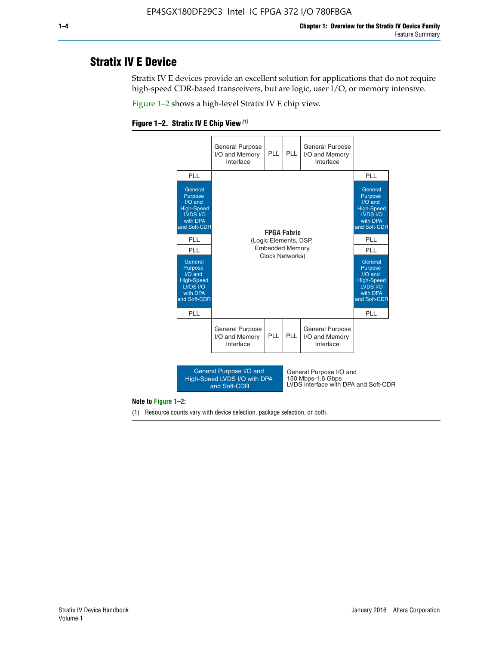# **Stratix IV E Device**

Stratix IV E devices provide an excellent solution for applications that do not require high-speed CDR-based transceivers, but are logic, user I/O, or memory intensive.

Figure 1–2 shows a high-level Stratix IV E chip view.





#### **Note to Figure 1–2:**

(1) Resource counts vary with device selection, package selection, or both.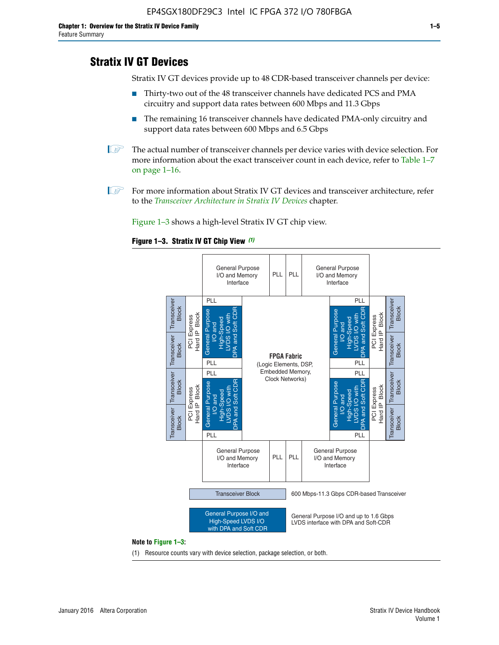# **Stratix IV GT Devices**

Stratix IV GT devices provide up to 48 CDR-based transceiver channels per device:

- Thirty-two out of the 48 transceiver channels have dedicated PCS and PMA circuitry and support data rates between 600 Mbps and 11.3 Gbps
- The remaining 16 transceiver channels have dedicated PMA-only circuitry and support data rates between 600 Mbps and 6.5 Gbps
- **1** The actual number of transceiver channels per device varies with device selection. For more information about the exact transceiver count in each device, refer to Table 1–7 on page 1–16.
- $\mathbb{I}$  For more information about Stratix IV GT devices and transceiver architecture, refer to the *[Transceiver Architecture in Stratix IV Devices](http://www.altera.com/literature/hb/stratix-iv/stx4_siv52001.pdf)* chapter.

Figure 1–3 shows a high-level Stratix IV GT chip view.





(1) Resource counts vary with device selection, package selection, or both.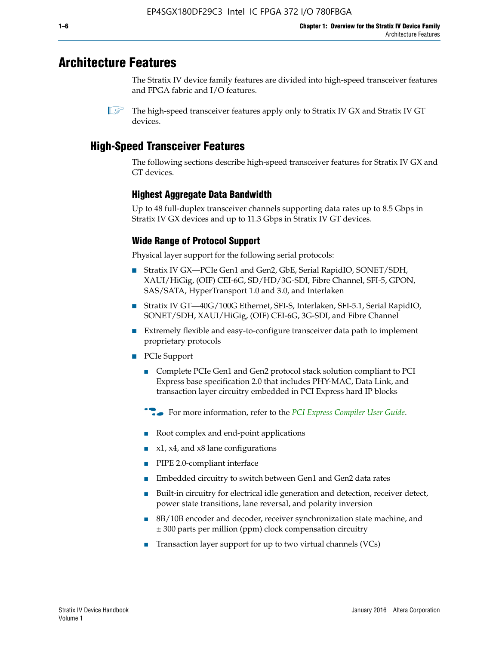# **Architecture Features**

The Stratix IV device family features are divided into high-speed transceiver features and FPGA fabric and I/O features.

 $\mathbb{I}$  The high-speed transceiver features apply only to Stratix IV GX and Stratix IV GT devices.

# **High-Speed Transceiver Features**

The following sections describe high-speed transceiver features for Stratix IV GX and GT devices.

## **Highest Aggregate Data Bandwidth**

Up to 48 full-duplex transceiver channels supporting data rates up to 8.5 Gbps in Stratix IV GX devices and up to 11.3 Gbps in Stratix IV GT devices.

## **Wide Range of Protocol Support**

Physical layer support for the following serial protocols:

- Stratix IV GX—PCIe Gen1 and Gen2, GbE, Serial RapidIO, SONET/SDH, XAUI/HiGig, (OIF) CEI-6G, SD/HD/3G-SDI, Fibre Channel, SFI-5, GPON, SAS/SATA, HyperTransport 1.0 and 3.0, and Interlaken
- Stratix IV GT—40G/100G Ethernet, SFI-S, Interlaken, SFI-5.1, Serial RapidIO, SONET/SDH, XAUI/HiGig, (OIF) CEI-6G, 3G-SDI, and Fibre Channel
- Extremely flexible and easy-to-configure transceiver data path to implement proprietary protocols
- PCIe Support
	- Complete PCIe Gen1 and Gen2 protocol stack solution compliant to PCI Express base specification 2.0 that includes PHY-MAC, Data Link, and transaction layer circuitry embedded in PCI Express hard IP blocks
	- **For more information, refer to the [PCI Express Compiler User Guide](http://www.altera.com/literature/ug/ug_pci_express.pdf).**
	- Root complex and end-point applications
	- $x1, x4,$  and  $x8$  lane configurations
	- PIPE 2.0-compliant interface
	- Embedded circuitry to switch between Gen1 and Gen2 data rates
	- Built-in circuitry for electrical idle generation and detection, receiver detect, power state transitions, lane reversal, and polarity inversion
	- 8B/10B encoder and decoder, receiver synchronization state machine, and ± 300 parts per million (ppm) clock compensation circuitry
	- Transaction layer support for up to two virtual channels (VCs)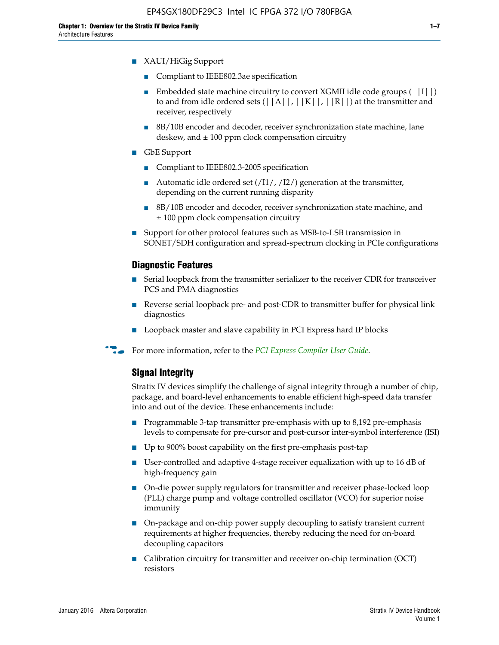- XAUI/HiGig Support
	- Compliant to IEEE802.3ae specification
	- **■** Embedded state machine circuitry to convert XGMII idle code groups  $(|11|)$ to and from idle ordered sets  $(|A|, |K|, |R|)$  at the transmitter and receiver, respectively
	- 8B/10B encoder and decoder, receiver synchronization state machine, lane deskew, and  $\pm 100$  ppm clock compensation circuitry
- GbE Support
	- Compliant to IEEE802.3-2005 specification
	- Automatic idle ordered set  $(111/112/1)$  generation at the transmitter, depending on the current running disparity
	- 8B/10B encoder and decoder, receiver synchronization state machine, and ± 100 ppm clock compensation circuitry
- Support for other protocol features such as MSB-to-LSB transmission in SONET/SDH configuration and spread-spectrum clocking in PCIe configurations

#### **Diagnostic Features**

- Serial loopback from the transmitter serializer to the receiver CDR for transceiver PCS and PMA diagnostics
- Reverse serial loopback pre- and post-CDR to transmitter buffer for physical link diagnostics
- Loopback master and slave capability in PCI Express hard IP blocks
- **For more information, refer to the** *[PCI Express Compiler User Guide](http://www.altera.com/literature/ug/ug_pci_express.pdf)***.**

## **Signal Integrity**

Stratix IV devices simplify the challenge of signal integrity through a number of chip, package, and board-level enhancements to enable efficient high-speed data transfer into and out of the device. These enhancements include:

- Programmable 3-tap transmitter pre-emphasis with up to 8,192 pre-emphasis levels to compensate for pre-cursor and post-cursor inter-symbol interference (ISI)
- Up to 900% boost capability on the first pre-emphasis post-tap
- User-controlled and adaptive 4-stage receiver equalization with up to 16 dB of high-frequency gain
- On-die power supply regulators for transmitter and receiver phase-locked loop (PLL) charge pump and voltage controlled oscillator (VCO) for superior noise immunity
- On-package and on-chip power supply decoupling to satisfy transient current requirements at higher frequencies, thereby reducing the need for on-board decoupling capacitors
- Calibration circuitry for transmitter and receiver on-chip termination (OCT) resistors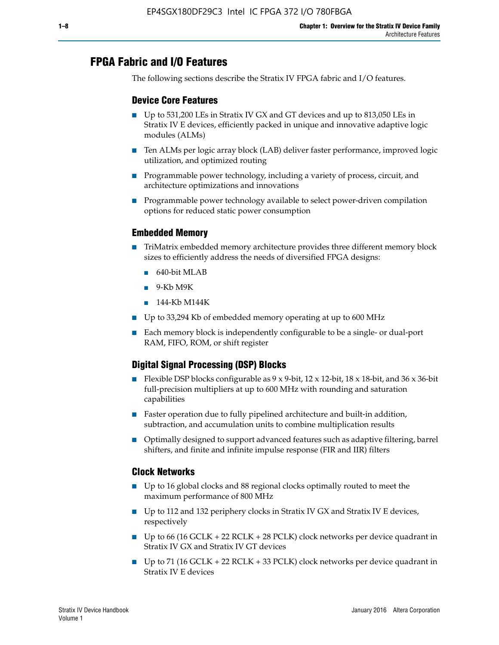# **FPGA Fabric and I/O Features**

The following sections describe the Stratix IV FPGA fabric and I/O features.

## **Device Core Features**

- Up to 531,200 LEs in Stratix IV GX and GT devices and up to 813,050 LEs in Stratix IV E devices, efficiently packed in unique and innovative adaptive logic modules (ALMs)
- Ten ALMs per logic array block (LAB) deliver faster performance, improved logic utilization, and optimized routing
- Programmable power technology, including a variety of process, circuit, and architecture optimizations and innovations
- Programmable power technology available to select power-driven compilation options for reduced static power consumption

## **Embedded Memory**

- TriMatrix embedded memory architecture provides three different memory block sizes to efficiently address the needs of diversified FPGA designs:
	- 640-bit MLAB
	- 9-Kb M9K
	- 144-Kb M144K
- Up to 33,294 Kb of embedded memory operating at up to 600 MHz
- Each memory block is independently configurable to be a single- or dual-port RAM, FIFO, ROM, or shift register

# **Digital Signal Processing (DSP) Blocks**

- Flexible DSP blocks configurable as  $9 \times 9$ -bit,  $12 \times 12$ -bit,  $18 \times 18$ -bit, and  $36 \times 36$ -bit full-precision multipliers at up to 600 MHz with rounding and saturation capabilities
- Faster operation due to fully pipelined architecture and built-in addition, subtraction, and accumulation units to combine multiplication results
- Optimally designed to support advanced features such as adaptive filtering, barrel shifters, and finite and infinite impulse response (FIR and IIR) filters

### **Clock Networks**

- Up to 16 global clocks and 88 regional clocks optimally routed to meet the maximum performance of 800 MHz
- Up to 112 and 132 periphery clocks in Stratix IV GX and Stratix IV E devices, respectively
- Up to 66 (16 GCLK + 22 RCLK + 28 PCLK) clock networks per device quadrant in Stratix IV GX and Stratix IV GT devices
- Up to 71 (16 GCLK + 22 RCLK + 33 PCLK) clock networks per device quadrant in Stratix IV E devices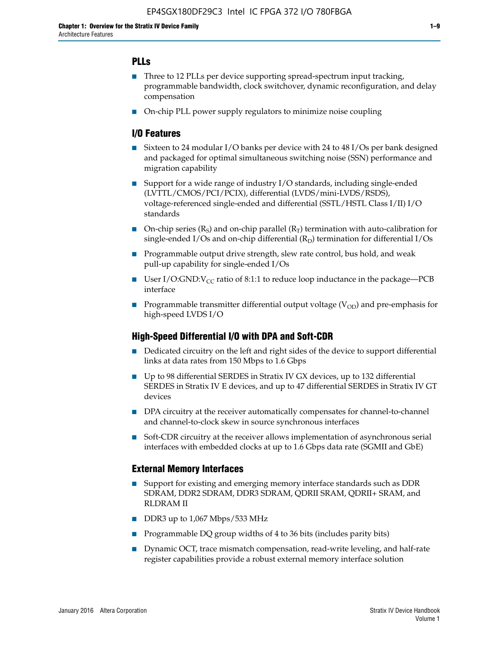## **PLLs**

- Three to 12 PLLs per device supporting spread-spectrum input tracking, programmable bandwidth, clock switchover, dynamic reconfiguration, and delay compensation
- On-chip PLL power supply regulators to minimize noise coupling

## **I/O Features**

- Sixteen to 24 modular I/O banks per device with 24 to 48 I/Os per bank designed and packaged for optimal simultaneous switching noise (SSN) performance and migration capability
- Support for a wide range of industry I/O standards, including single-ended (LVTTL/CMOS/PCI/PCIX), differential (LVDS/mini-LVDS/RSDS), voltage-referenced single-ended and differential (SSTL/HSTL Class I/II) I/O standards
- **O**n-chip series  $(R_S)$  and on-chip parallel  $(R_T)$  termination with auto-calibration for single-ended I/Os and on-chip differential  $(R_D)$  termination for differential I/Os
- Programmable output drive strength, slew rate control, bus hold, and weak pull-up capability for single-ended I/Os
- User I/O:GND: $V_{CC}$  ratio of 8:1:1 to reduce loop inductance in the package—PCB interface
- **■** Programmable transmitter differential output voltage ( $V_{OD}$ ) and pre-emphasis for high-speed LVDS I/O

### **High-Speed Differential I/O with DPA and Soft-CDR**

- Dedicated circuitry on the left and right sides of the device to support differential links at data rates from 150 Mbps to 1.6 Gbps
- Up to 98 differential SERDES in Stratix IV GX devices, up to 132 differential SERDES in Stratix IV E devices, and up to 47 differential SERDES in Stratix IV GT devices
- DPA circuitry at the receiver automatically compensates for channel-to-channel and channel-to-clock skew in source synchronous interfaces
- Soft-CDR circuitry at the receiver allows implementation of asynchronous serial interfaces with embedded clocks at up to 1.6 Gbps data rate (SGMII and GbE)

### **External Memory Interfaces**

- Support for existing and emerging memory interface standards such as DDR SDRAM, DDR2 SDRAM, DDR3 SDRAM, QDRII SRAM, QDRII+ SRAM, and RLDRAM II
- DDR3 up to 1,067 Mbps/533 MHz
- Programmable DQ group widths of 4 to 36 bits (includes parity bits)
- Dynamic OCT, trace mismatch compensation, read-write leveling, and half-rate register capabilities provide a robust external memory interface solution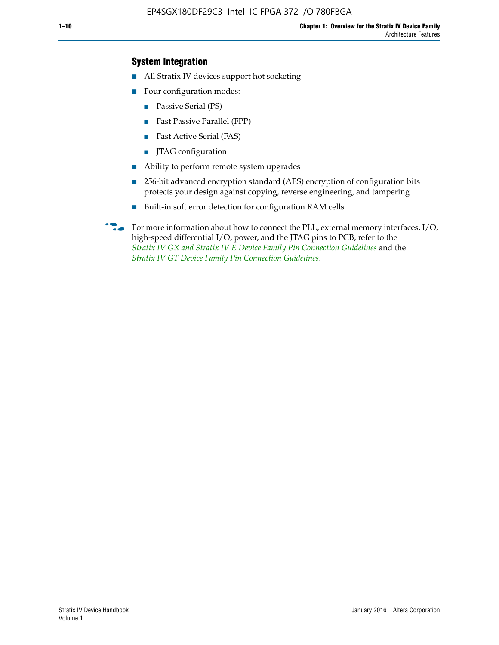## **System Integration**

- All Stratix IV devices support hot socketing
- Four configuration modes:
	- Passive Serial (PS)
	- Fast Passive Parallel (FPP)
	- Fast Active Serial (FAS)
	- JTAG configuration
- Ability to perform remote system upgrades
- 256-bit advanced encryption standard (AES) encryption of configuration bits protects your design against copying, reverse engineering, and tampering
- Built-in soft error detection for configuration RAM cells
- For more information about how to connect the PLL, external memory interfaces,  $I/O$ , high-speed differential I/O, power, and the JTAG pins to PCB, refer to the *[Stratix IV GX and Stratix IV E Device Family Pin Connection Guidelines](http://www.altera.com/literature/dp/stratix4/PCG-01005.pdf)* and the *[Stratix IV GT Device Family Pin Connection Guidelines](http://www.altera.com/literature/dp/stratix4/PCG-01006.pdf)*.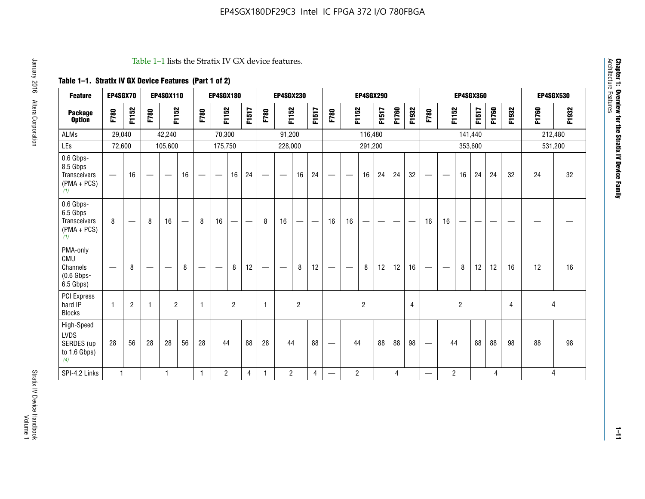#### Table 1–1 lists the Stratix IV GX device features.

# **Table 1–1. Stratix IV GX Device Features (Part 1 of 2)**

| <b>Feature</b>                                                 | EP4SGX70                 |                |                                  | <b>EP4SGX110</b>  |    |                                | <b>EP4SGX180</b>               |                |       |              | <b>EP4SGX230</b>         |                |       |                   |                | <b>EP4SGX290</b> |       |       |                |                                 |                   | <b>EP4SGX360</b> |         |       |       |         | <b>EP4SGX530</b> |
|----------------------------------------------------------------|--------------------------|----------------|----------------------------------|-------------------|----|--------------------------------|--------------------------------|----------------|-------|--------------|--------------------------|----------------|-------|-------------------|----------------|------------------|-------|-------|----------------|---------------------------------|-------------------|------------------|---------|-------|-------|---------|------------------|
| <b>Package</b><br><b>Option</b>                                | F780                     | F1152          | F780                             | F1152             |    | F780                           | F1152                          |                | F1517 | F780         | F1152                    |                | F1517 | F780              | F1152          |                  | F1517 | F1760 | F1932          | F780                            | F1152             |                  | F1517   | F1760 | F1932 | F1760   | F1932            |
| <b>ALMs</b>                                                    | 29,040                   |                |                                  | 42,240            |    |                                | 70,300                         |                |       |              | 91,200                   |                |       |                   |                | 116,480          |       |       |                |                                 |                   |                  | 141,440 |       |       | 212,480 |                  |
| LEs                                                            | 72,600                   |                |                                  | 105,600           |    |                                | 175,750                        |                |       |              | 228,000                  |                |       |                   |                | 291,200          |       |       |                |                                 |                   |                  | 353,600 |       |       |         | 531,200          |
| 0.6 Gbps-<br>8.5 Gbps<br>Transceivers<br>$(PMA + PCs)$<br>(1)  | $\overline{\phantom{0}}$ | 16             | $\hspace{0.05cm}$                | $\hspace{0.05cm}$ | 16 | $\qquad \qquad \longleftarrow$ | $\hspace{0.05cm}$              | 16             | 24    |              | $\overline{\phantom{a}}$ | 16             | 24    | —                 |                | 16               | 24    | 24    | 32             | $\overline{\phantom{0}}$        | $\hspace{0.05cm}$ | 16               | 24      | 24    | 32    | 24      | 32               |
| 0.6 Gbps-<br>6.5 Gbps<br>Transceivers<br>$(PMA + PCs)$<br>(1)  | 8                        |                | 8                                | 16                |    | 8                              | 16                             | ÷              |       | 8            | 16                       | —              |       | 16                | 16             |                  |       |       |                | 16                              | 16                |                  |         |       |       |         |                  |
| PMA-only<br>CMU<br>Channels<br>$(0.6$ Gbps-<br>6.5 Gbps)       | $\overline{\phantom{0}}$ | 8              | $\overbrace{\phantom{12322111}}$ |                   | 8  | $\qquad \qquad \longleftarrow$ | $\qquad \qquad \longleftarrow$ | 8              | 12    |              |                          | 8              | 12    | $\hspace{0.05cm}$ |                | 8                | 12    | 12    | 16             | $\overline{\phantom{0}}$        | $\hspace{0.05cm}$ | 8                | 12      | 12    | 16    | 12      | 16               |
| PCI Express<br>hard IP<br><b>Blocks</b>                        | $\mathbf{1}$             | $\overline{2}$ | $\mathbf 1$                      | $\overline{2}$    |    | $\mathbf{1}$                   |                                | $\overline{2}$ |       | $\mathbf{1}$ |                          | $\overline{c}$ |       |                   |                | $\overline{c}$   |       |       | $\overline{4}$ |                                 |                   | $\overline{2}$   |         |       | 4     |         | 4                |
| High-Speed<br><b>LVDS</b><br>SERDES (up<br>to 1.6 Gbps)<br>(4) | 28                       | 56             | 28                               | 28                | 56 | 28                             | 44                             |                | 88    | 28           | 44                       |                | 88    | —                 | 44             |                  | 88    | 88    | 98             | $\hspace{0.1mm}-\hspace{0.1mm}$ | 44                |                  | 88      | 88    | 98    | 88      | 98               |
| SPI-4.2 Links                                                  | $\mathbf{1}$             |                |                                  | 1                 |    | $\mathbf{1}$                   | $\overline{c}$                 |                | 4     | 1            | $\overline{c}$           |                | 4     | —                 | $\overline{2}$ |                  |       | 4     |                | $\overline{\phantom{0}}$        | $\overline{2}$    |                  |         | 4     |       |         | 4                |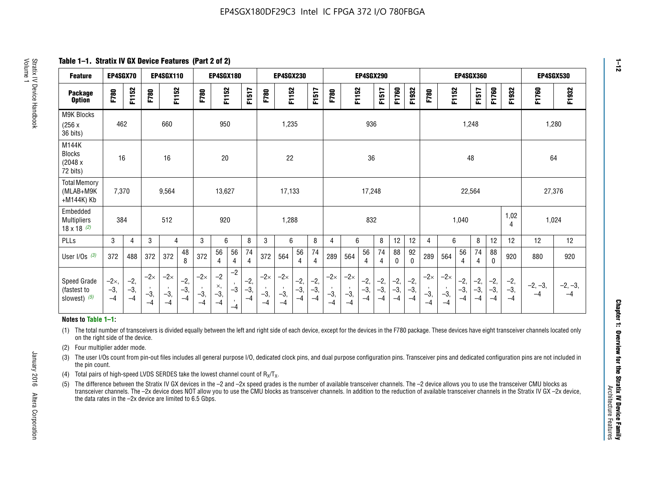**Table 1–1. Stratix IV GX Device Features (Part 2 of 2)**

| <b>Feature</b>                                       | EP4SGX70                |                        |                             | <b>EP4SGX110</b>            |                      |                             | <b>EP4SGX180</b>          |                      |                        |                             | <b>EP4SGX230</b>            |                      |                        |                             |                             | <b>EP4SGX290</b>       |                      |                        |                      |                             |                             |                        | <b>EP4SGX360</b>       |                        |                        | <b>EP4SGX530</b>  |                   |
|------------------------------------------------------|-------------------------|------------------------|-----------------------------|-----------------------------|----------------------|-----------------------------|---------------------------|----------------------|------------------------|-----------------------------|-----------------------------|----------------------|------------------------|-----------------------------|-----------------------------|------------------------|----------------------|------------------------|----------------------|-----------------------------|-----------------------------|------------------------|------------------------|------------------------|------------------------|-------------------|-------------------|
| <b>Package</b><br><b>Option</b>                      | F780                    | F1152                  | F780                        | F1152                       |                      | F780                        | F1152                     |                      | F1517                  | F780                        | F1152                       |                      | F1517                  | F780                        | F1152                       |                        | F1517                | F1760                  | F1932                | F780                        | F1152                       |                        | F1517                  | F1760                  | F1932                  | F1760             | F1932             |
| M9K Blocks<br>(256x)<br>36 bits)                     | 462                     |                        |                             | 660                         |                      |                             | 950                       |                      |                        |                             | 1,235                       |                      |                        |                             |                             | 936                    |                      |                        |                      |                             |                             | 1,248                  |                        |                        |                        | 1,280             |                   |
| M144K<br>Blocks<br>(2048 x<br>72 bits)               | 16                      |                        |                             | 16                          |                      |                             | 20                        |                      |                        |                             | 22                          |                      |                        |                             |                             | 36                     |                      |                        |                      |                             |                             | 48                     |                        |                        |                        | 64                |                   |
| <b>Total Memory</b><br>(MLAB+M9K<br>+M144K) Kb       | 7,370                   |                        |                             | 9,564                       |                      |                             | 13,627                    |                      |                        |                             | 17,133                      |                      |                        |                             |                             | 17,248                 |                      |                        |                      |                             |                             | 22,564                 |                        |                        |                        | 27,376            |                   |
| Embedded<br><b>Multipliers</b><br>$18 \times 18$ (2) | 384                     |                        |                             | 512                         |                      |                             | 920                       |                      |                        |                             | 1,288                       |                      |                        |                             |                             | 832                    |                      |                        |                      |                             |                             | 1,040                  |                        |                        | 1,02<br>4              | 1,024             |                   |
| PLLs                                                 | 3                       | 4                      | 3                           | 4                           |                      | 3                           | 6                         |                      | 8                      | 3                           | 6                           |                      | 8                      | $\overline{4}$              | 6                           |                        | 8                    | 12                     | 12                   | 4                           | 6                           |                        | 8                      | 12                     | 12                     | 12                | 12                |
| User I/Os $(3)$                                      | 372                     | 488                    | 372                         | 372                         | 48<br>8              | 372                         | 56<br>4                   | 56<br>4              | 74<br>4                | 372                         | 564                         | 56<br>4              | 74<br>$\overline{4}$   | 289                         | 564                         | 56<br>4                | 74<br>4              | 88<br>0                | 92<br>$\mathbf{0}$   | 289                         | 564                         | 56<br>4                | 74<br>4                | 88<br>0                | 920                    | 880               | 920               |
| Speed Grade<br>(fastest to<br>slowest) (5)           | $-2x,$<br>$-3,$<br>$-4$ | $-2,$<br>$-3,$<br>$-4$ | $-2\times$<br>$-3,$<br>$-4$ | $-2\times$<br>$-3,$<br>$-4$ | $-2,$<br>-3,<br>$-4$ | $-2\times$<br>$-3,$<br>$-4$ | $-2$<br>×,<br>$-3,$<br>-4 | $-2$<br>$-3$<br>$-4$ | $-2,$<br>$-3,$<br>$-4$ | $-2\times$<br>$-3,$<br>$-4$ | $-2\times$<br>$-3,$<br>$-4$ | $-2,$<br>-3,<br>$-4$ | $-2,$<br>$-3,$<br>$-4$ | $-2\times$<br>$-3,$<br>$-4$ | $-2\times$<br>$-3,$<br>$-4$ | $-2,$<br>$-3,$<br>$-4$ | $-2,$<br>-3,<br>$-4$ | $-2,$<br>$-3,$<br>$-4$ | $-2,$<br>-3,<br>$-4$ | $-2\times$<br>$-3,$<br>$-4$ | $-2\times$<br>$-3,$<br>$-4$ | $-2,$<br>$-3,$<br>$-4$ | $-2,$<br>$-3,$<br>$-4$ | $-2,$<br>$-3,$<br>$-4$ | $-2,$<br>$-3,$<br>$-4$ | $-2, -3,$<br>$-4$ | $-2, -3,$<br>$-4$ |

#### **Notes to Table 1–1:**

(1) The total number of transceivers is divided equally between the left and right side of each device, except for the devices in the F780 package. These devices have eight transceiver channels located only on the right side of the device.

- (2) Four multiplier adder mode.
- (3) The user I/Os count from pin-out files includes all general purpose I/O, dedicated clock pins, and dual purpose configuration pins. Transceiver pins and dedicated configuration pins are not included in the pin count.
- (4) Total pairs of high-speed LVDS SERDES take the lowest channel count of  $R_X/T_X$ .
- (5) The difference between the Stratix IV GX devices in the –2 and –2x speed grades is the number of available transceiver channels. The –2 device allows you to use the transceiver CMU blocks as transceiver channels. The –2x device does NOT allow you to use the CMU blocks as transceiver channels. In addition to the reduction of available transceiver channels in the Stratix IV GX –2x device, the data rates in the –2x device are limited to 6.5 Gbps.

January 2016 Altera Corporation

Altera Corporation

January 2016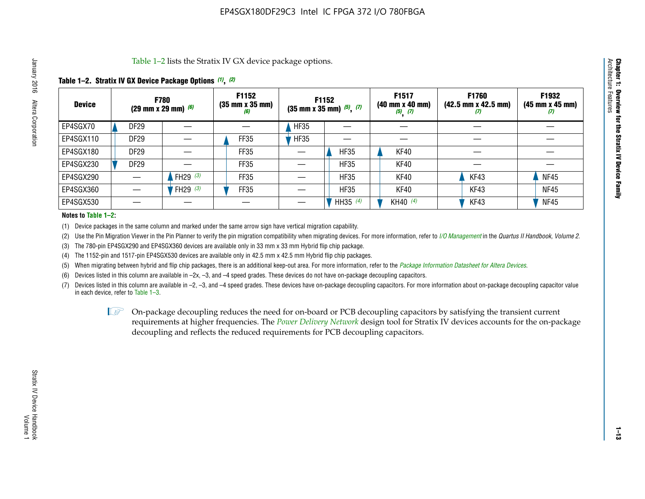Table 1–2 lists the Stratix IV GX device package options.

#### **Table 1–2. Stratix IV GX Device Package Options** *(1)***,** *(2)*

| <b>Device</b> |                  | <b>F780</b><br>(29 mm x 29 mm) $(6)$ | F1152<br>$(35 \, \text{mm} \times 35 \, \text{mm})$<br>(6) |             | F1152<br>$(35$ mm x 35 mm) $(5)$ , $(7)$ | F1517<br>(40 mm x 40 mm)<br>$(5)$ $(7)$ | F1760<br>$(42.5 \text{ mm} \times 42.5 \text{ mm})$<br>‴ | F1932<br>$(45 \, \text{mm} \times 45 \, \text{mm})$<br>$\boldsymbol{U}$ |
|---------------|------------------|--------------------------------------|------------------------------------------------------------|-------------|------------------------------------------|-----------------------------------------|----------------------------------------------------------|-------------------------------------------------------------------------|
| EP4SGX70      | DF <sub>29</sub> |                                      |                                                            | <b>HF35</b> |                                          |                                         |                                                          |                                                                         |
| EP4SGX110     | <b>DF29</b>      |                                      | <b>FF35</b>                                                | <b>HF35</b> |                                          |                                         |                                                          |                                                                         |
| EP4SGX180     | <b>DF29</b>      |                                      | FF35                                                       |             | <b>HF35</b>                              | KF40                                    |                                                          |                                                                         |
| EP4SGX230     | <b>DF29</b>      |                                      | FF35                                                       |             | <b>HF35</b>                              | KF40                                    |                                                          |                                                                         |
| EP4SGX290     |                  | FH29 $(3)$                           | <b>FF35</b>                                                |             | <b>HF35</b>                              | KF40                                    | KF43                                                     | <b>NF45</b>                                                             |
| EP4SGX360     |                  | FH29 $(3)$                           | FF35                                                       |             | <b>HF35</b>                              | KF40                                    | KF43                                                     | <b>NF45</b>                                                             |
| EP4SGX530     |                  |                                      |                                                            |             | HH35 $(4)$                               | KH40 (4)                                | KF43                                                     | <b>NF45</b>                                                             |

#### **Notes to Table 1–2:**

(1) Device packages in the same column and marked under the same arrow sign have vertical migration capability.

(2) Use the Pin Migration Viewer in the Pin Planner to verify the pin migration compatibility when migrating devices. For more information, refer to *[I/O Management](http://www.altera.com/literature/hb/qts/qts_qii52013.pdf)* in the *Quartus II Handbook, Volume 2*.

(3) The 780-pin EP4SGX290 and EP4SGX360 devices are available only in 33 mm x 33 mm Hybrid flip chip package.

(4) The 1152-pin and 1517-pin EP4SGX530 devices are available only in 42.5 mm x 42.5 mm Hybrid flip chip packages.

(5) When migrating between hybrid and flip chip packages, there is an additional keep-out area. For more information, refer to the *[Package Information Datasheet for Altera Devices](http://www.altera.com/literature/ds/dspkg.pdf)*.

(6) Devices listed in this column are available in –2x, –3, and –4 speed grades. These devices do not have on-package decoupling capacitors.

(7) Devices listed in this column are available in –2, –3, and –4 speed grades. These devices have on-package decoupling capacitors. For more information about on-package decoupling capacitor value in each device, refer to Table 1–3.

 $\mathbb{L}$ s On-package decoupling reduces the need for on-board or PCB decoupling capacitors by satisfying the transient current requirements at higher frequencies. The *[Power Delivery Network](http://www.altera.com/literature/ug/pdn_tool_stxiv.zip)* design tool for Stratix IV devices accounts for the on-package decoupling and reflects the reduced requirements for PCB decoupling capacitors.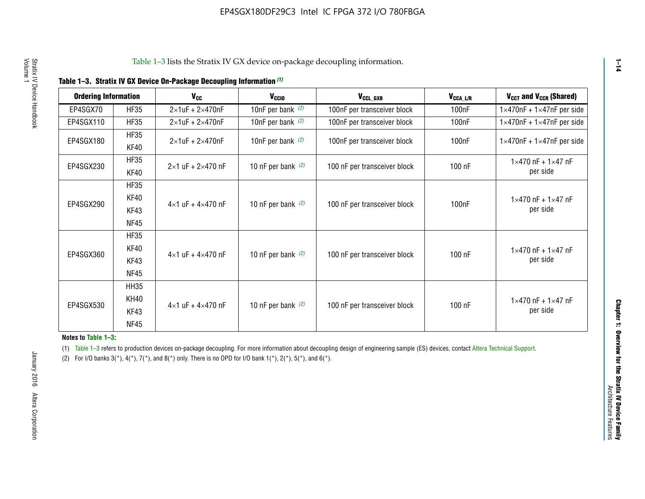|  |  | Table 1-3. Stratix IV GX Device On-Package Decoupling Information (1) |  |  |
|--|--|-----------------------------------------------------------------------|--|--|
|--|--|-----------------------------------------------------------------------|--|--|

| <b>Ordering Information</b> |                     | <b>V<sub>cc</sub></b>               | V <sub>ccio</sub>    | V <sub>CCL GXB</sub>         | V <sub>CCA_L/R</sub> | V <sub>CCT</sub> and V <sub>CCR</sub> (Shared)   |
|-----------------------------|---------------------|-------------------------------------|----------------------|------------------------------|----------------------|--------------------------------------------------|
| EP4SGX70                    | <b>HF35</b>         | $2\times1$ uF + $2\times470$ nF     | 10nF per bank $(2)$  | 100nF per transceiver block  | 100 <sub>n</sub> F   | $1 \times 470$ nF + $1 \times 47$ nF per side    |
| EP4SGX110                   | <b>HF35</b>         | $2\times1$ uF + $2\times470$ nF     | 10nF per bank $(2)$  | 100nF per transceiver block  | 100 <sub>n</sub> F   | $1\times470$ nF + $1\times47$ nF per side        |
| EP4SGX180                   | <b>HF35</b><br>KF40 | $2\times1$ uF + $2\times470$ nF     | 10nF per bank $(2)$  | 100nF per transceiver block  | 100 <sub>n</sub> F   | $1 \times 470$ nF + $1 \times 47$ nF per side    |
| EP4SGX230                   | <b>HF35</b><br>KF40 | $2 \times 1$ uF + $2 \times 470$ nF | 10 nF per bank $(2)$ | 100 nF per transceiver block | 100 nF               | $1 \times 470$ nF + $1 \times 47$ nF<br>per side |
|                             | <b>HF35</b><br>KF40 |                                     |                      |                              |                      | $1 \times 470$ nF + $1 \times 47$ nF             |
| EP4SGX290                   | KF43<br><b>NF45</b> | $4 \times 1$ uF + $4 \times 470$ nF | 10 nF per bank $(2)$ | 100 nF per transceiver block | 100nF                | per side                                         |
|                             | <b>HF35</b><br>KF40 |                                     |                      |                              |                      | $1 \times 470$ nF + $1 \times 47$ nF             |
| EP4SGX360                   | KF43<br><b>NF45</b> | $4 \times 1$ uF + $4 \times 470$ nF | 10 nF per bank $(2)$ | 100 nF per transceiver block | 100 nF               | per side                                         |
|                             | <b>HH35</b>         |                                     |                      |                              |                      |                                                  |
| EP4SGX530                   | <b>KH40</b><br>KF43 | $4 \times 1$ uF + $4 \times 470$ nF | 10 nF per bank $(2)$ | 100 nF per transceiver block | 100 nF               | $1 \times 470$ nF + $1 \times 47$ nF<br>per side |
|                             | <b>NF45</b>         |                                     |                      |                              |                      |                                                  |

**Notes to Table 1–3:**

(1) Table 1-3 refers to production devices on-package decoupling. For more information about decoupling design of engineering sample (ES) devices, contact [Altera Technical Support](http://mysupport.altera.com/eservice/login.asp).

(2) For I/O banks  $3(*)$ ,  $4(*)$ ,  $7(*)$ , and  $8(*)$  only. There is no OPD for I/O bank  $1(*)$ ,  $2(*)$ ,  $5(*)$ , and  $6(*)$ .

**1–14**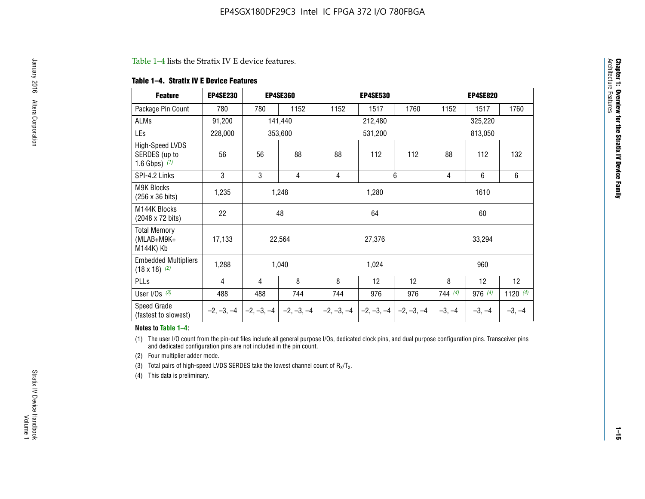#### Table 1–4 lists the Stratix IV E device features.

#### **Table 1–4. Stratix IV E Device Features**

| <b>Feature</b>                                      | <b>EP4SE230</b> |     | <b>EP4SE360</b>                        |              | <b>EP4SE530</b> |              |          | <b>EP4SE820</b> |            |  |
|-----------------------------------------------------|-----------------|-----|----------------------------------------|--------------|-----------------|--------------|----------|-----------------|------------|--|
| Package Pin Count                                   | 780             | 780 | 1152                                   | 1152         | 1517            | 1760         | 1152     | 1517            | 1760       |  |
| ALMs                                                | 91,200          |     | 141,440                                |              | 212,480         |              |          | 325,220         |            |  |
| LEs                                                 | 228,000         |     | 353,600                                |              | 531,200         |              |          | 813,050         |            |  |
| High-Speed LVDS<br>SERDES (up to<br>1.6 Gbps) $(1)$ | 56              | 56  | 88                                     | 88           | 112             | 112          | 88       | 112             | 132        |  |
| SPI-4.2 Links                                       | 3               | 3   | 4                                      | 4            |                 | 6            | 4        | 6               | 6          |  |
| <b>M9K Blocks</b><br>(256 x 36 bits)                | 1,235           |     | 1,248                                  |              | 1,280           |              |          | 1610            |            |  |
| M144K Blocks<br>(2048 x 72 bits)                    | 22              |     | 48                                     |              | 64              |              |          | 60              |            |  |
| <b>Total Memory</b><br>$(MLAB+M9K+$<br>M144K) Kb    | 17,133          |     | 22,564                                 |              | 27,376          |              |          | 33,294          |            |  |
| <b>Embedded Multipliers</b><br>$(18 \times 18)$ (2) | 1,288           |     | 1,040                                  |              | 1,024           |              |          | 960             |            |  |
| PLLs                                                | 4               | 4   | 8                                      | 8            | 12              | 12           | 8        | 12              | 12         |  |
| User I/Os $(3)$                                     | 488             | 488 | 744                                    | 744          | 976             | 976          | 744(4)   | 976 (4)         | 1120 $(4)$ |  |
| Speed Grade<br>(fastest to slowest)                 |                 |     | $-2, -3, -4$ $-2, -3, -4$ $-2, -3, -4$ | $-2, -3, -4$ | $-2, -3, -4$    | $-2, -3, -4$ | $-3, -4$ | $-3, -4$        | $-3, -4$   |  |

#### **Notes to Table 1–4:**

(1) The user I/O count from the pin-out files include all general purpose I/Os, dedicated clock pins, and dual purpose configuration pins. Transceiver pins and dedicated configuration pins are not included in the pin count.

(2) Four multiplier adder mode.

(3) Total pairs of high-speed LVDS SERDES take the lowest channel count of  $R_X/T_X$ .

(4) This data is preliminary.

**Chapter 1: Overview for the Stratix IV Device Family**

**Chapter 1: Overview for the Stratix IV Device Family**<br>Architecture Faatures

Architecture Features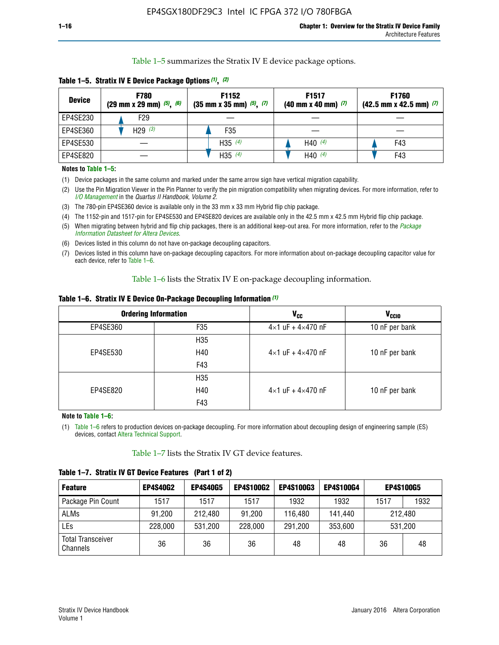Table 1–5 summarizes the Stratix IV E device package options.

| <b>Device</b> | <b>F780</b><br>$(29 \text{ mm} \times 29 \text{ mm})$ $(5)$ , $(6)$ | F1152<br>$(35 \text{ mm} \times 35 \text{ mm})$ $(5)$ , $(7)$ | F <sub>1517</sub><br>$(40 \text{ mm} \times 40 \text{ mm})$ (7) | <b>F1760</b><br>$(42.5$ mm x 42.5 mm) $(7)$ |
|---------------|---------------------------------------------------------------------|---------------------------------------------------------------|-----------------------------------------------------------------|---------------------------------------------|
| EP4SE230      | F29                                                                 |                                                               |                                                                 |                                             |
| EP4SE360      | H <sub>29</sub> $(3)$                                               | F35                                                           |                                                                 |                                             |
| EP4SE530      |                                                                     | H35 $(4)$                                                     | H40 $(4)$                                                       | F43                                         |
| EP4SE820      |                                                                     | H35 $(4)$                                                     | H40 $(4)$                                                       | F43                                         |

**Table 1–5. Stratix IV E Device Package Options** *(1)***,** *(2)*

#### **Notes to Table 1–5:**

(1) Device packages in the same column and marked under the same arrow sign have vertical migration capability.

(2) Use the Pin Migration Viewer in the Pin Planner to verify the pin migration compatibility when migrating devices. For more information, refer to *[I/O Management](http://www.altera.com/literature/hb/qts/qts_qii52013.pdf)* in the *Quartus II Handbook, Volume 2*.

(3) The 780-pin EP4SE360 device is available only in the 33 mm x 33 mm Hybrid flip chip package.

(4) The 1152-pin and 1517-pin for EP4SE530 and EP4SE820 devices are available only in the 42.5 mm x 42.5 mm Hybrid flip chip package.

(5) When migrating between hybrid and flip chip packages, there is an additional keep-out area. For more information, refer to the *[Package](http://www.altera.com/literature/ds/dspkg.pdf)  [Information Datasheet for Altera Devices](http://www.altera.com/literature/ds/dspkg.pdf)*.

(6) Devices listed in this column do not have on-package decoupling capacitors.

(7) Devices listed in this column have on-package decoupling capacitors. For more information about on-package decoupling capacitor value for each device, refer to Table 1–6.

Table 1–6 lists the Stratix IV E on-package decoupling information.

| Table 1–6. Stratix IV E Device On-Package Decoupling Information (1) |  |  |  |  |  |
|----------------------------------------------------------------------|--|--|--|--|--|
|----------------------------------------------------------------------|--|--|--|--|--|

|          | <b>Ordering Information</b> | <b>V<sub>cc</sub></b>               | <b>V<sub>CCIO</sub></b> |
|----------|-----------------------------|-------------------------------------|-------------------------|
| EP4SE360 | F <sub>35</sub>             | $4 \times 1$ uF + $4 \times 470$ nF | 10 nF per bank          |
|          | H <sub>35</sub>             |                                     |                         |
| EP4SE530 | H40                         | $4 \times 1$ uF + $4 \times 470$ nF | 10 nF per bank          |
|          | F43                         |                                     |                         |
|          | H <sub>35</sub>             |                                     |                         |
| EP4SE820 | H40                         | $4 \times 1$ uF + $4 \times 470$ nF | 10 nF per bank          |
|          | F43                         |                                     |                         |

**Note to Table 1–6:**

(1) Table 1–6 refers to production devices on-package decoupling. For more information about decoupling design of engineering sample (ES) devices, contact [Altera Technical Support](http://mysupport.altera.com/eservice/login.asp).

Table 1–7 lists the Stratix IV GT device features.

| <b>Feature</b>                       | <b>EP4S40G2</b> | <b>EP4S40G5</b> | <b>EP4S100G2</b> | <b>EP4S100G3</b> | <b>EP4S100G4</b> |      | <b>EP4S100G5</b> |
|--------------------------------------|-----------------|-----------------|------------------|------------------|------------------|------|------------------|
| Package Pin Count                    | 1517            | 1517            | 1517             | 1932             | 1932             | 1517 | 1932             |
| <b>ALMs</b>                          | 91,200          | 212,480         | 91,200           | 116,480          | 141,440          |      | 212.480          |
| LEs                                  | 228,000         | 531,200         | 228,000          | 291,200          | 353,600          |      | 531,200          |
| <b>Total Transceiver</b><br>Channels | 36              | 36              | 36               | 48               | 48               | 36   | 48               |

**Table 1–7. Stratix IV GT Device Features (Part 1 of 2)**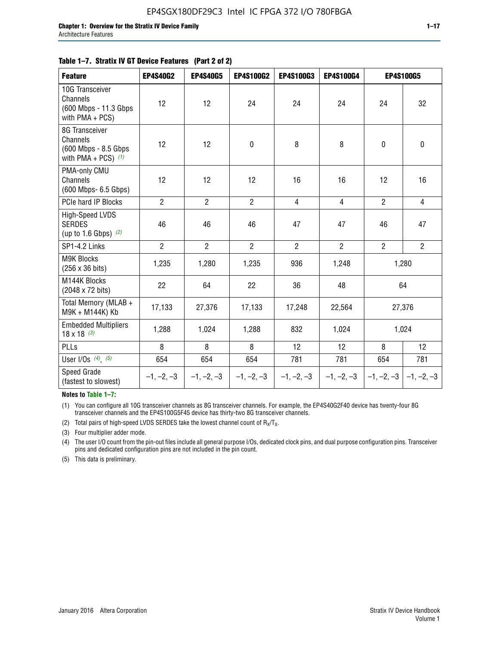#### **Table 1–7. Stratix IV GT Device Features (Part 2 of 2)**

| <b>Feature</b>                                                              | <b>EP4S40G2</b> | <b>EP4S40G5</b> | <b>EP4S100G2</b> | <b>EP4S100G3</b> | <b>EP4S100G4</b> |                | <b>EP4S100G5</b> |
|-----------------------------------------------------------------------------|-----------------|-----------------|------------------|------------------|------------------|----------------|------------------|
| 10G Transceiver<br>Channels<br>(600 Mbps - 11.3 Gbps<br>with PMA + PCS)     | 12              | 12              | 24               | 24               | 24               | 24             | 32               |
| 8G Transceiver<br>Channels<br>(600 Mbps - 8.5 Gbps<br>with PMA + PCS) $(1)$ | 12              | 12              | $\mathbf 0$      | 8                | 8                | $\mathbf 0$    | $\pmb{0}$        |
| PMA-only CMU<br>Channels<br>(600 Mbps- 6.5 Gbps)                            | 12              | 12              | 12               | 16               | 16               | 12             | 16               |
| PCIe hard IP Blocks                                                         | $\overline{2}$  | $\overline{2}$  | $\overline{2}$   | 4                | $\overline{4}$   | $\overline{2}$ | $\overline{4}$   |
| High-Speed LVDS<br><b>SERDES</b><br>(up to 1.6 Gbps) $(2)$                  | 46              | 46              | 46               | 47               | 47               | 46             | 47               |
| SP1-4.2 Links                                                               | $\overline{2}$  | $\overline{2}$  | $\overline{2}$   | $\overline{2}$   | $\overline{2}$   | $\overline{2}$ | $2^{\circ}$      |
| <b>M9K Blocks</b><br>(256 x 36 bits)                                        | 1,235           | 1,280           | 1,235            | 936              | 1,248            |                | 1,280            |
| M144K Blocks<br>(2048 x 72 bits)                                            | 22              | 64              | 22               | 36               | 48               |                | 64               |
| Total Memory (MLAB +<br>M9K + M144K) Kb                                     | 17,133          | 27,376          | 17,133           | 17,248           | 22,564           |                | 27,376           |
| <b>Embedded Multipliers</b><br>$18 \times 18^{(3)}$                         | 1,288           | 1,024           | 1,288            | 832              | 1,024            |                | 1,024            |
| <b>PLLs</b>                                                                 | 8               | 8               | 8                | 12               | 12               | 8              | 12               |
| User I/Os $(4)$ , $(5)$                                                     | 654             | 654             | 654              | 781              | 781              | 654            | 781              |
| Speed Grade<br>(fastest to slowest)                                         | $-1, -2, -3$    | $-1, -2, -3$    | $-1, -2, -3$     | $-1, -2, -3$     | $-1, -2, -3$     | $-1, -2, -3$   | $-1, -2, -3$     |

**Notes to Table 1–7:**

(1) You can configure all 10G transceiver channels as 8G transceiver channels. For example, the EP4S40G2F40 device has twenty-four 8G transceiver channels and the EP4S100G5F45 device has thirty-two 8G transceiver channels.

(2) Total pairs of high-speed LVDS SERDES take the lowest channel count of  $R_X/T_X$ .

(3) Four multiplier adder mode.

(4) The user I/O count from the pin-out files include all general purpose I/Os, dedicated clock pins, and dual purpose configuration pins. Transceiver pins and dedicated configuration pins are not included in the pin count.

(5) This data is preliminary.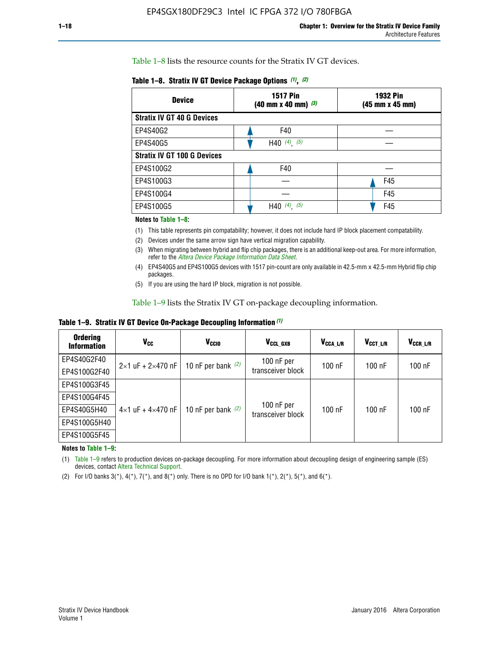Table 1–8 lists the resource counts for the Stratix IV GT devices.

| <b>Device</b>                      | <b>1517 Pin</b><br><b>1932 Pin</b><br>$(40 \text{ mm} \times 40 \text{ mm})$ (3)<br>(45 mm x 45 mm) |     |  |
|------------------------------------|-----------------------------------------------------------------------------------------------------|-----|--|
| <b>Stratix IV GT 40 G Devices</b>  |                                                                                                     |     |  |
| EP4S40G2                           | F40                                                                                                 |     |  |
| EP4S40G5                           | H40 $(4)$ , $(5)$                                                                                   |     |  |
| <b>Stratix IV GT 100 G Devices</b> |                                                                                                     |     |  |
| EP4S100G2                          | F40                                                                                                 |     |  |
| EP4S100G3                          |                                                                                                     | F45 |  |
| EP4S100G4                          |                                                                                                     | F45 |  |
| EP4S100G5                          | H40 $(4)$ , $(5)$                                                                                   | F45 |  |

#### **Notes to Table 1–8:**

(1) This table represents pin compatability; however, it does not include hard IP block placement compatability.

- (2) Devices under the same arrow sign have vertical migration capability.
- (3) When migrating between hybrid and flip chip packages, there is an additional keep-out area. For more information, refer to the *[Altera Device Package Information Data Sheet](http://www.altera.com/literature/ds/dspkg.pdf)*.
- (4) EP4S40G5 and EP4S100G5 devices with 1517 pin-count are only available in 42.5-mm x 42.5-mm Hybrid flip chip packages.
- (5) If you are using the hard IP block, migration is not possible.

Table 1–9 lists the Stratix IV GT on-package decoupling information.

**Table 1–9. Stratix IV GT Device On-Package Decoupling Information** *(1)*

| <b>Ordering</b><br><b>Information</b> | Vcc                                 | <b>V<sub>CCIO</sub></b> | V <sub>CCL GXB</sub>            | V <sub>CCA L/R</sub> | V <sub>CCT L/R</sub> | V <sub>CCR_L/R</sub> |
|---------------------------------------|-------------------------------------|-------------------------|---------------------------------|----------------------|----------------------|----------------------|
| EP4S40G2F40                           | $2 \times 1$ uF + $2 \times 470$ nF | 10 nF per bank $(2)$    | 100 nF per<br>transceiver block | $100$ nF             | $100$ nF             | 100 nF               |
| EP4S100G2F40                          |                                     |                         |                                 |                      |                      |                      |
| EP4S100G3F45                          |                                     | 10 nF per bank $(2)$    | 100 nF per<br>transceiver block | $100$ nF             | $100$ nF             | $100$ nF             |
| EP4S100G4F45                          |                                     |                         |                                 |                      |                      |                      |
| EP4S40G5H40                           | $4\times1$ uF + $4\times470$ nF     |                         |                                 |                      |                      |                      |
| EP4S100G5H40                          |                                     |                         |                                 |                      |                      |                      |
| EP4S100G5F45                          |                                     |                         |                                 |                      |                      |                      |

**Notes to Table 1–9:**

(1) Table 1–9 refers to production devices on-package decoupling. For more information about decoupling design of engineering sample (ES) devices, contact [Altera Technical Support](http://mysupport.altera.com/eservice/login.asp).

(2) For I/O banks  $3(*)$ ,  $4(*)$ ,  $7(*)$ , and  $8(*)$  only. There is no OPD for I/O bank  $1(*)$ ,  $2(*)$ ,  $5(*)$ , and  $6(*)$ .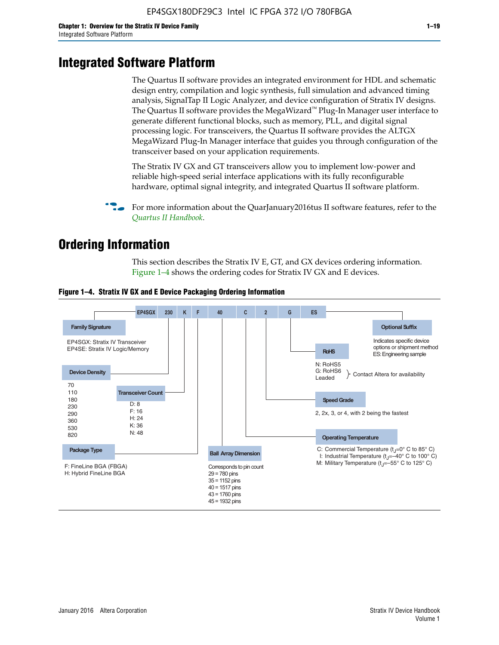# **Integrated Software Platform**

The Quartus II software provides an integrated environment for HDL and schematic design entry, compilation and logic synthesis, full simulation and advanced timing analysis, SignalTap II Logic Analyzer, and device configuration of Stratix IV designs. The Quartus II software provides the MegaWizard<sup> $M$ </sup> Plug-In Manager user interface to generate different functional blocks, such as memory, PLL, and digital signal processing logic. For transceivers, the Quartus II software provides the ALTGX MegaWizard Plug-In Manager interface that guides you through configuration of the transceiver based on your application requirements.

The Stratix IV GX and GT transceivers allow you to implement low-power and reliable high-speed serial interface applications with its fully reconfigurable hardware, optimal signal integrity, and integrated Quartus II software platform.

For more information about the QuarJanuary2016tus II software features, refer to the *[Quartus II Handbook](http://www.altera.com/literature/lit-qts.jsp)*.

# **Ordering Information**

This section describes the Stratix IV E, GT, and GX devices ordering information. Figure 1–4 shows the ordering codes for Stratix IV GX and E devices.



#### **Figure 1–4. Stratix IV GX and E Device Packaging Ordering Information**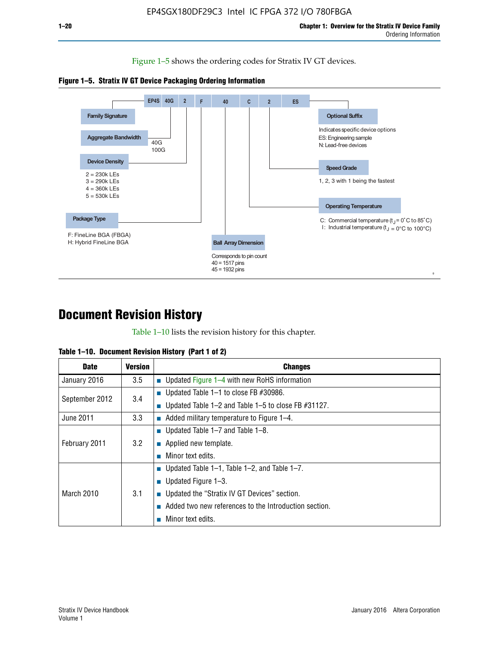Figure 1–5 shows the ordering codes for Stratix IV GT devices.





# **Document Revision History**

Table 1–10 lists the revision history for this chapter.

| Table 1–10. Document Revision History (Part 1 of 2) |  |  |  |  |  |
|-----------------------------------------------------|--|--|--|--|--|
|-----------------------------------------------------|--|--|--|--|--|

| <b>Date</b>       | <b>Version</b> | <b>Changes</b>                                           |
|-------------------|----------------|----------------------------------------------------------|
| January 2016      | 3.5            | <b>Updated Figure 1–4 with new RoHS information</b>      |
| September 2012    | 3.4            | ■ Updated Table $1-1$ to close FB #30986.                |
|                   |                | ■ Updated Table 1–2 and Table 1–5 to close FB $#31127$ . |
| June 2011         | 3.3            | $\blacksquare$ Added military temperature to Figure 1–4. |
| February 2011     |                | ■ Updated Table $1-7$ and Table $1-8$ .                  |
|                   | 3.2            | $\blacksquare$ Applied new template.                     |
|                   |                | Minor text edits.                                        |
| <b>March 2010</b> |                | ■ Updated Table 1–1, Table 1–2, and Table 1–7.           |
|                   | 3.1            | ■ Updated Figure $1-3$ .                                 |
|                   |                | ■ Updated the "Stratix IV GT Devices" section.           |
|                   |                | Added two new references to the Introduction section.    |
|                   |                | Minor text edits.                                        |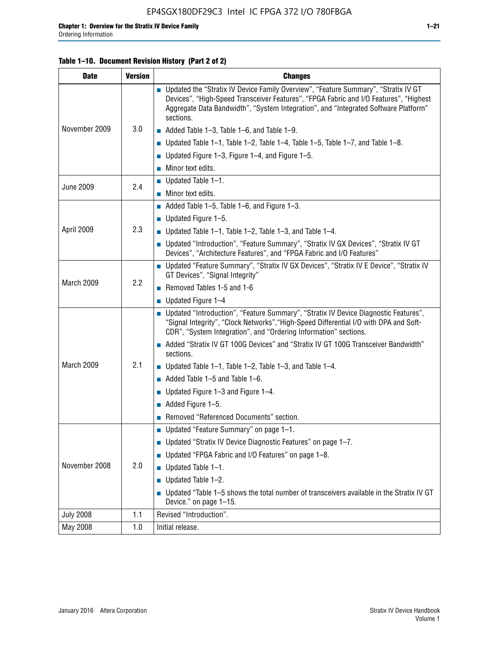## **Table 1–10. Document Revision History (Part 2 of 2)**

| <b>Date</b>      | <b>Version</b> | <b>Changes</b>                                                                                                                                                                                                                                                                    |  |  |
|------------------|----------------|-----------------------------------------------------------------------------------------------------------------------------------------------------------------------------------------------------------------------------------------------------------------------------------|--|--|
|                  |                | ■ Updated the "Stratix IV Device Family Overview", "Feature Summary", "Stratix IV GT<br>Devices", "High-Speed Transceiver Features", "FPGA Fabric and I/O Features", "Highest<br>Aggregate Data Bandwidth", "System Integration", and "Integrated Software Platform"<br>sections. |  |  |
| November 2009    | 3.0            | $\blacksquare$ Added Table 1-3, Table 1-6, and Table 1-9.                                                                                                                                                                                                                         |  |  |
|                  |                | $\blacksquare$ Updated Table 1-1, Table 1-2, Table 1-4, Table 1-5, Table 1-7, and Table 1-8.                                                                                                                                                                                      |  |  |
|                  |                | ■ Updated Figure 1–3, Figure 1–4, and Figure 1–5.                                                                                                                                                                                                                                 |  |  |
|                  |                | $\blacksquare$ Minor text edits.                                                                                                                                                                                                                                                  |  |  |
| <b>June 2009</b> | 2.4            | $\blacksquare$ Updated Table 1-1.                                                                                                                                                                                                                                                 |  |  |
|                  |                | Minor text edits.                                                                                                                                                                                                                                                                 |  |  |
|                  |                | $\blacksquare$ Added Table 1–5, Table 1–6, and Figure 1–3.                                                                                                                                                                                                                        |  |  |
|                  |                | $\blacksquare$ Updated Figure 1-5.                                                                                                                                                                                                                                                |  |  |
| April 2009       | 2.3            | Updated Table $1-1$ , Table $1-2$ , Table $1-3$ , and Table $1-4$ .                                                                                                                                                                                                               |  |  |
|                  |                | ■ Updated "Introduction", "Feature Summary", "Stratix IV GX Devices", "Stratix IV GT<br>Devices", "Architecture Features", and "FPGA Fabric and I/O Features"                                                                                                                     |  |  |
|                  | 2.2            | ■ Updated "Feature Summary", "Stratix IV GX Devices", "Stratix IV E Device", "Stratix IV<br>GT Devices", "Signal Integrity"                                                                                                                                                       |  |  |
| March 2009       |                | Removed Tables 1-5 and 1-6                                                                                                                                                                                                                                                        |  |  |
|                  |                | Updated Figure 1-4                                                                                                                                                                                                                                                                |  |  |
|                  |                | ■ Updated "Introduction", "Feature Summary", "Stratix IV Device Diagnostic Features",<br>"Signal Integrity", "Clock Networks", "High-Speed Differential I/O with DPA and Soft-<br>CDR", "System Integration", and "Ordering Information" sections.                                |  |  |
|                  |                | Added "Stratix IV GT 100G Devices" and "Stratix IV GT 100G Transceiver Bandwidth"<br>sections.                                                                                                                                                                                    |  |  |
| March 2009       | 2.1            | <b>Updated Table 1–1, Table 1–2, Table 1–3, and Table 1–4.</b>                                                                                                                                                                                                                    |  |  |
|                  |                | $\blacksquare$ Added Table 1-5 and Table 1-6.                                                                                                                                                                                                                                     |  |  |
|                  |                | ■ Updated Figure $1-3$ and Figure $1-4$ .                                                                                                                                                                                                                                         |  |  |
|                  |                | $\blacksquare$ Added Figure 1-5.                                                                                                                                                                                                                                                  |  |  |
|                  |                | Removed "Referenced Documents" section.                                                                                                                                                                                                                                           |  |  |
|                  | 2.0            | Updated "Feature Summary" on page 1-1.                                                                                                                                                                                                                                            |  |  |
|                  |                | ■ Updated "Stratix IV Device Diagnostic Features" on page 1-7.                                                                                                                                                                                                                    |  |  |
| November 2008    |                | Updated "FPGA Fabric and I/O Features" on page 1-8.                                                                                                                                                                                                                               |  |  |
|                  |                | $\blacksquare$ Updated Table 1-1.                                                                                                                                                                                                                                                 |  |  |
|                  |                | Updated Table 1-2.                                                                                                                                                                                                                                                                |  |  |
|                  |                | Updated "Table 1-5 shows the total number of transceivers available in the Stratix IV GT<br>Device." on page 1-15.                                                                                                                                                                |  |  |
| <b>July 2008</b> | 1.1            | Revised "Introduction".                                                                                                                                                                                                                                                           |  |  |
| May 2008         | 1.0            | Initial release.                                                                                                                                                                                                                                                                  |  |  |